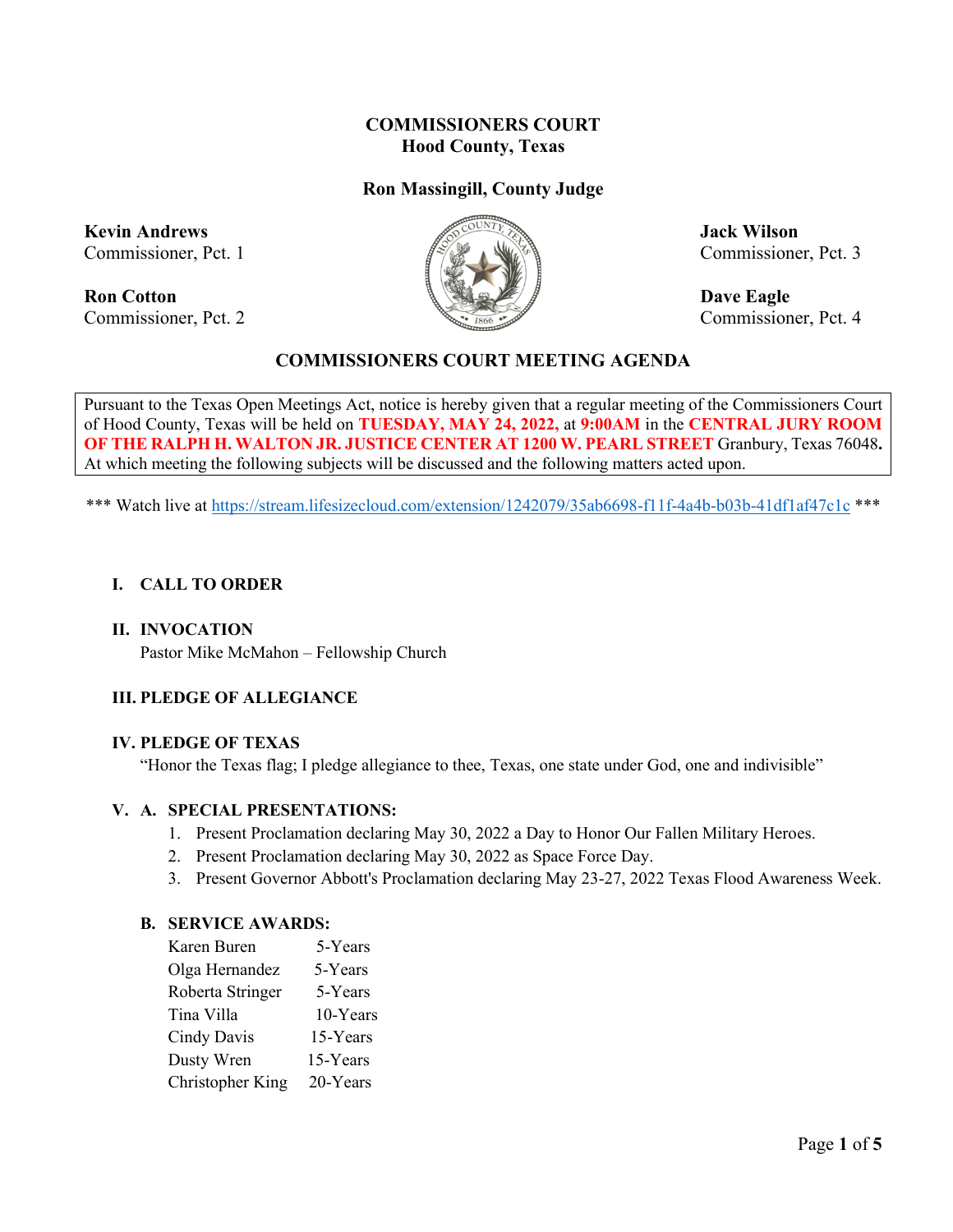## **COMMISSIONERS COURT Hood County, Texas**

## **Ron Massingill, County Judge**

**Kevin Andrews Jack Wilson** 

**Ron Cotton Dave Eagle** Commissioner, Pct. 2 Commissioner, Pct. 4



Commissioner, Pct. 1  $\mathbb{Z}^n$   $\mathbb{Z}^n$   $\mathbb{Z}^n$  Commissioner, Pct. 3

## **COMMISSIONERS COURT MEETING AGENDA**

Pursuant to the Texas Open Meetings Act, notice is hereby given that a regular meeting of the Commissioners Court of Hood County, Texas will be held on **TUESDAY, MAY 24, 2022,** at **9:00AM** in the **CENTRAL JURY ROOM OF THE RALPH H. WALTON JR. JUSTICE CENTER AT 1200 W. PEARL STREET** Granbury, Texas 76048**.**  At which meeting the following subjects will be discussed and the following matters acted upon.

\*\*\* Watch live at<https://stream.lifesizecloud.com/extension/1242079/35ab6698-f11f-4a4b-b03b-41df1af47c1c> \*\*\*

#### **I. CALL TO ORDER**

#### **II. INVOCATION**

Pastor Mike McMahon – Fellowship Church

## **III. PLEDGE OF ALLEGIANCE**

#### **IV. PLEDGE OF TEXAS**

"Honor the Texas flag; I pledge allegiance to thee, Texas, one state under God, one and indivisible"

#### **V. A. SPECIAL PRESENTATIONS:**

- 1. Present Proclamation declaring May 30, 2022 a Day to Honor Our Fallen Military Heroes.
- 2. Present Proclamation declaring May 30, 2022 as Space Force Day.
- 3. Present Governor Abbott's Proclamation declaring May 23-27, 2022 Texas Flood Awareness Week.

#### **B. SERVICE AWARDS:**

| Karen Buren             | 5-Years  |
|-------------------------|----------|
| Olga Hernandez          | 5-Years  |
| Roberta Stringer        | 5-Years  |
| Tina Villa              | 10-Years |
| Cindy Davis             | 15-Years |
| Dusty Wren              | 15-Years |
| <b>Christopher King</b> | 20-Years |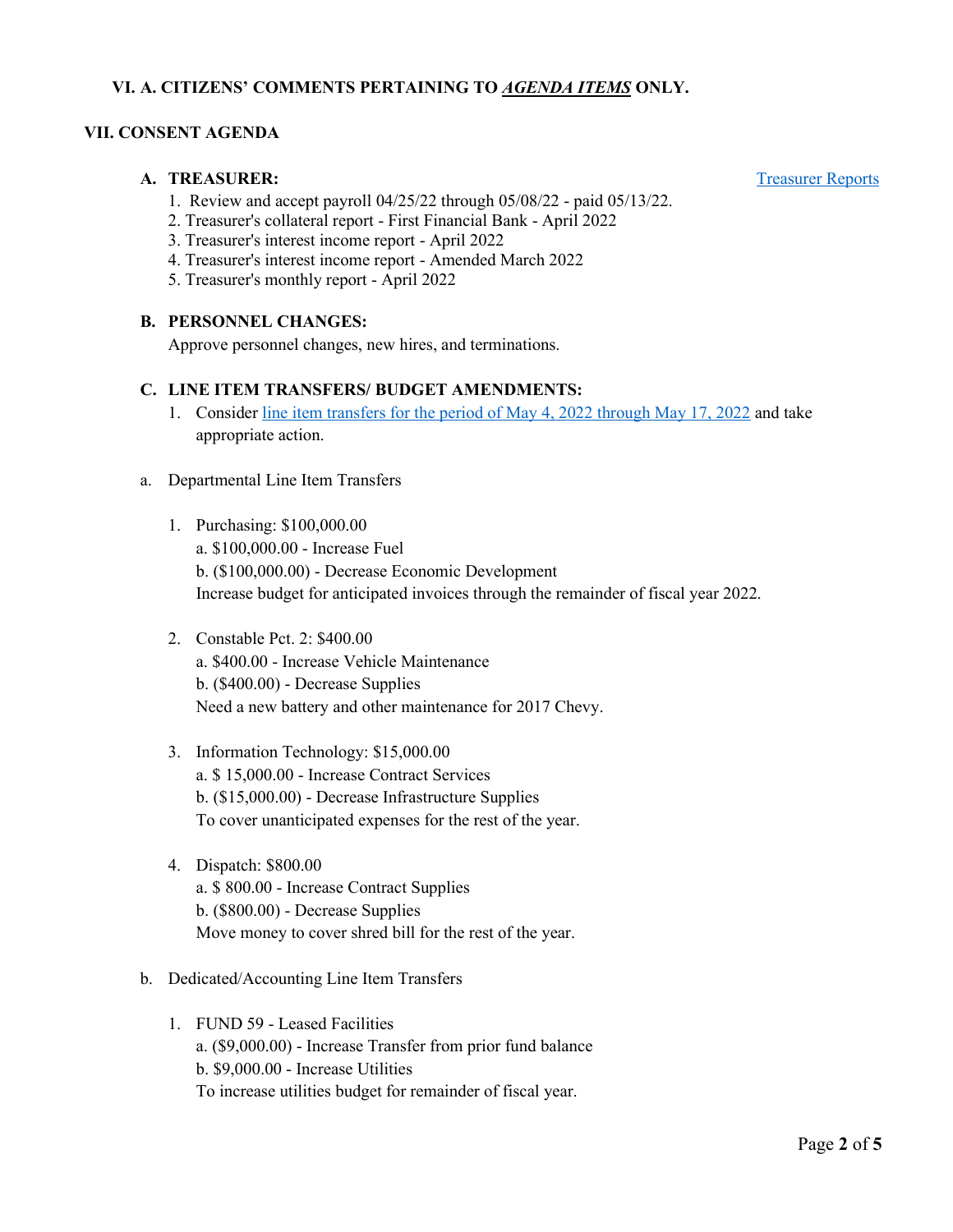#### **VI. A. CITIZENS' COMMENTS PERTAINING TO** *AGENDA ITEMS* **ONLY.**

#### **VII. CONSENT AGENDA**

#### **A. TREASURER:** [Treasurer Reports](https://cohoodtxus-my.sharepoint.com/:b:/g/personal/skiser_co_hood_tx_us/EXi7qfhCky9Jt-LvolILdfgBwifE66zbgN5ejuOkTpcJtA?e=V4hS8b)

- 1. Review and accept payroll 04/25/22 through 05/08/22 paid 05/13/22.
- 2. Treasurer's collateral report First Financial Bank April 2022
- 3. Treasurer's interest income report April 2022
- 4. Treasurer's interest income report Amended March 2022
- 5. Treasurer's monthly report April 2022

#### **B. PERSONNEL CHANGES:**

Approve personnel changes, new hires, and terminations.

#### **C. LINE ITEM TRANSFERS/ BUDGET AMENDMENTS:**

- 1. Consider [line item transfers for the period of May 4, 2022 through May 17, 2022](https://cohoodtxus-my.sharepoint.com/:b:/g/personal/skiser_co_hood_tx_us/EeM7BmE84-NPgO8CfIypCDYBIKiDQWnfPQaJm9996JJ2eA?e=Oovztc) and take appropriate action.
- a. Departmental Line Item Transfers
	- 1. Purchasing: \$100,000.00 a. \$100,000.00 - Increase Fuel b. (\$100,000.00) - Decrease Economic Development Increase budget for anticipated invoices through the remainder of fiscal year 2022.
	- 2. Constable Pct. 2: \$400.00 a. \$400.00 - Increase Vehicle Maintenance b. (\$400.00) - Decrease Supplies Need a new battery and other maintenance for 2017 Chevy.
	- 3. Information Technology: \$15,000.00 a. \$ 15,000.00 - Increase Contract Services b. (\$15,000.00) - Decrease Infrastructure Supplies To cover unanticipated expenses for the rest of the year.
	- 4. Dispatch: \$800.00 a. \$ 800.00 - Increase Contract Supplies b. (\$800.00) - Decrease Supplies Move money to cover shred bill for the rest of the year.
- b. Dedicated/Accounting Line Item Transfers
	- 1. FUND 59 Leased Facilities a. (\$9,000.00) - Increase Transfer from prior fund balance b. \$9,000.00 - Increase Utilities To increase utilities budget for remainder of fiscal year.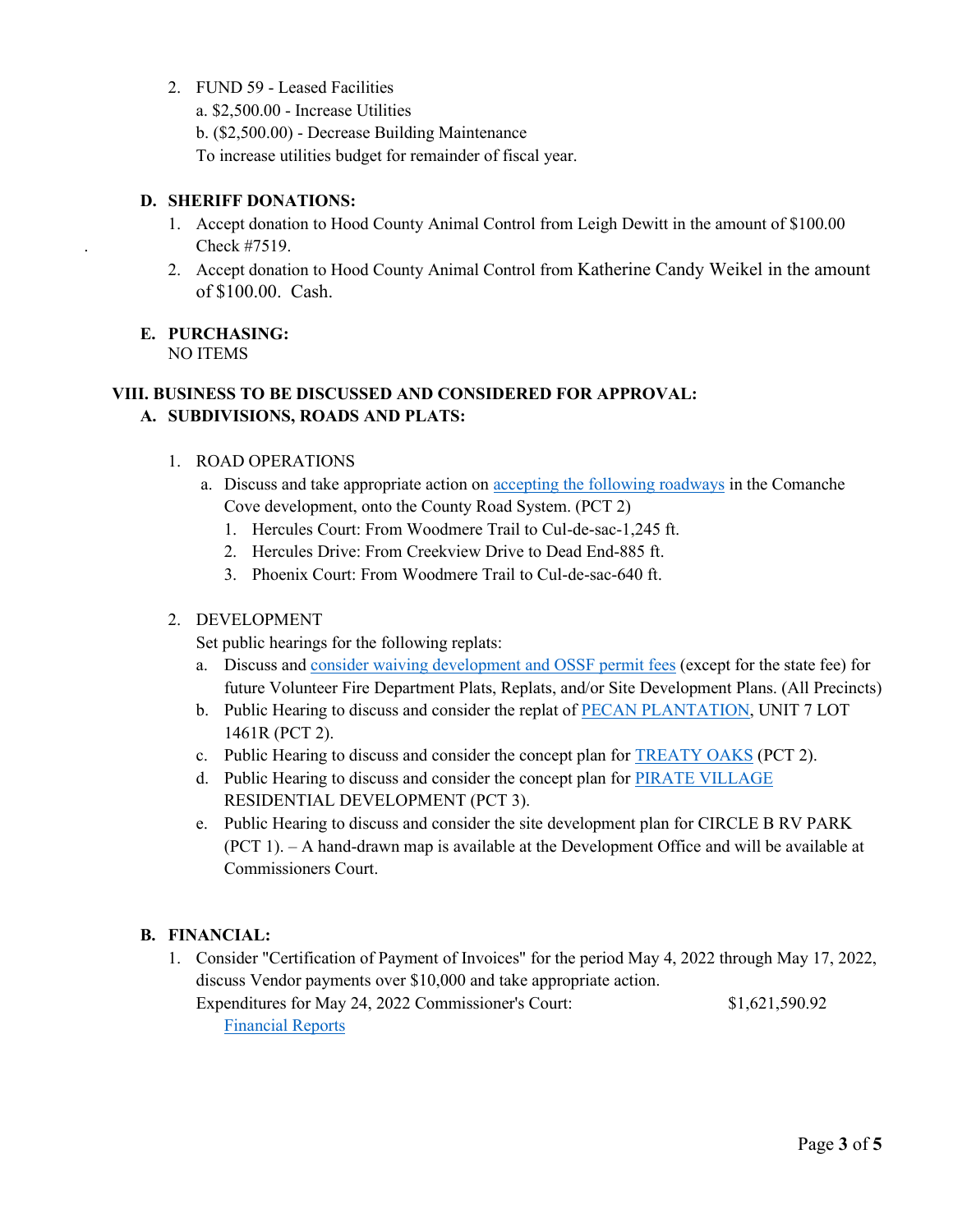2. FUND 59 - Leased Facilities

a. \$2,500.00 - Increase Utilities b. (\$2,500.00) - Decrease Building Maintenance To increase utilities budget for remainder of fiscal year.

## **D. SHERIFF DONATIONS:**

- 1. Accept donation to Hood County Animal Control from Leigh Dewitt in the amount of \$100.00 . Check #7519.
- 2. Accept donation to Hood County Animal Control from Katherine Candy Weikel in the amount of \$100.00. Cash.

# **E. PURCHASING:**

NO ITEMS

## **VIII. BUSINESS TO BE DISCUSSED AND CONSIDERED FOR APPROVAL: A. SUBDIVISIONS, ROADS AND PLATS:**

#### 1. ROAD OPERATIONS

- a. Discuss and take appropriate action on [accepting the following roadways](https://cohoodtxus-my.sharepoint.com/:b:/g/personal/skiser_co_hood_tx_us/ESyj1ORx-khPmtpim2dr-v8BzQ2ZOqKXPRc0fHEZZjzOzQ?e=IJXeaw) in the Comanche Cove development, onto the County Road System. (PCT 2)
	- 1. Hercules Court: From Woodmere Trail to Cul-de-sac-1,245 ft.
	- 2. Hercules Drive: From Creekview Drive to Dead End-885 ft.
	- 3. Phoenix Court: From Woodmere Trail to Cul-de-sac-640 ft.

### 2. DEVELOPMENT

Set public hearings for the following replats:

- a. Discuss an[d consider waiving development and OSSF](https://cohoodtxus-my.sharepoint.com/:b:/g/personal/skiser_co_hood_tx_us/ESyj1ORx-khPmtpim2dr-v8BzQ2ZOqKXPRc0fHEZZjzOzQ?e=GGczuC) permit fees (except for the state fee) for future Volunteer Fire Department Plats, Replats, and/or Site Development Plans. (All Precincts)
- b. Public Hearing to discuss and consider the replat of [PECAN PLANTATION,](https://cohoodtxus-my.sharepoint.com/:b:/g/personal/skiser_co_hood_tx_us/EYlS_PkPms9Dj86mi3ODpUABBnRl_AxLWxE7XDUzNIgJnA?e=QwfwPR) UNIT 7 LOT 1461R (PCT 2).
- c. Public Hearing to discuss and consider the concept plan for [TREATY OAKS](https://cohoodtxus-my.sharepoint.com/:b:/g/personal/skiser_co_hood_tx_us/EQXqx06l30lJqsuDSn8CSTYBqkZDEsdOkI_Umms72-WVZw?e=IL1qcP) (PCT 2).
- d. Public Hearing to discuss and consider the concept plan for [PIRATE VILLAGE](https://cohoodtxus-my.sharepoint.com/:b:/g/personal/skiser_co_hood_tx_us/EcntK65N58BCsZW1kHVQupUBhCCivT8CN84JRjQjNWCd-Q?e=Sp9NEA) RESIDENTIAL DEVELOPMENT (PCT 3).
- e. Public Hearing to discuss and consider the site development plan for CIRCLE B RV PARK (PCT 1). – A hand-drawn map is available at the Development Office and will be available at Commissioners Court.

## **B. FINANCIAL:**

1. Consider "Certification of Payment of Invoices" for the period May 4, 2022 through May 17, 2022, discuss Vendor payments over \$10,000 and take appropriate action. Expenditures for May 24, 2022 Commissioner's Court: \$1,621,590.92 [Financial Reports](https://cohoodtxus-my.sharepoint.com/:f:/g/personal/skiser_co_hood_tx_us/Es2SzG9jv5lAiob5kEpHj3QBKbTqa4hUNA5oEyPXKOsyfw?e=iSUvLE)

Page **3** of **5**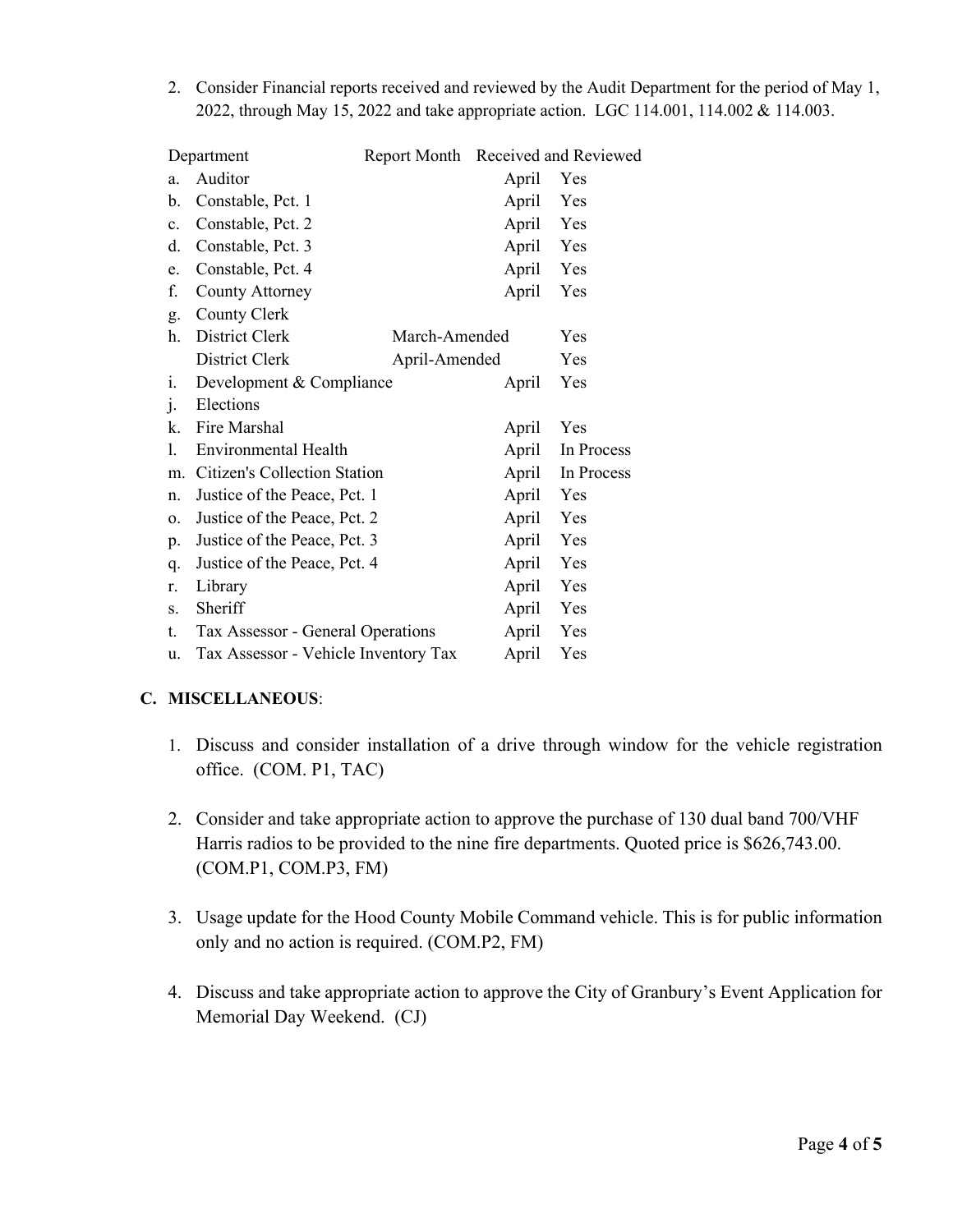2. Consider Financial reports received and reviewed by the Audit Department for the period of May 1, 2022, through May 15, 2022 and take appropriate action. LGC 114.001, 114.002 & 114.003.

| Department |                                      |               | Report Month Received and Reviewed |            |
|------------|--------------------------------------|---------------|------------------------------------|------------|
| a.         | Auditor                              |               | April                              | Yes        |
| b.         | Constable, Pct. 1                    |               | April                              | Yes        |
| c.         | Constable, Pct. 2                    |               | April                              | Yes        |
| d.         | Constable, Pct. 3                    |               | April                              | Yes        |
| e.         | Constable, Pct. 4                    |               | April                              | Yes        |
| f.         | <b>County Attorney</b>               |               | April                              | Yes        |
| g.         | County Clerk                         |               |                                    |            |
| h.         | District Clerk                       |               | March-Amended                      |            |
|            | District Clerk                       | April-Amended |                                    | Yes        |
| i.         | Development & Compliance             |               | April                              | Yes        |
| $\cdot$    | Elections                            |               |                                    |            |
| k.         | Fire Marshal                         |               | April                              | Yes        |
| 1.         | <b>Environmental Health</b>          |               | April                              | In Process |
| m.         | Citizen's Collection Station         |               | April                              | In Process |
| n.         | Justice of the Peace, Pct. 1         |               | April                              | Yes        |
| 0.         | Justice of the Peace, Pct. 2         |               | April                              | Yes        |
| p.         | Justice of the Peace, Pct. 3         |               | April                              | Yes        |
| q.         | Justice of the Peace, Pct. 4         |               | April                              | Yes        |
| r.         | Library                              |               | April                              | Yes        |
| S.         | Sheriff                              |               | April                              | Yes        |
| t.         | Tax Assessor - General Operations    |               | April                              | Yes        |
| u.         | Tax Assessor - Vehicle Inventory Tax |               | April                              | Yes        |

## **C. MISCELLANEOUS**:

- 1. Discuss and consider installation of a drive through window for the vehicle registration office. (COM. P1, TAC)
- 2. Consider and take appropriate action to approve the purchase of 130 dual band 700/VHF Harris radios to be provided to the nine fire departments. Quoted price is \$626,743.00. (COM.P1, COM.P3, FM)
- 3. Usage update for the Hood County Mobile Command vehicle. This is for public information only and no action is required. (COM.P2, FM)
- 4. Discuss and take appropriate action to approve the City of Granbury's Event Application for Memorial Day Weekend. (CJ)